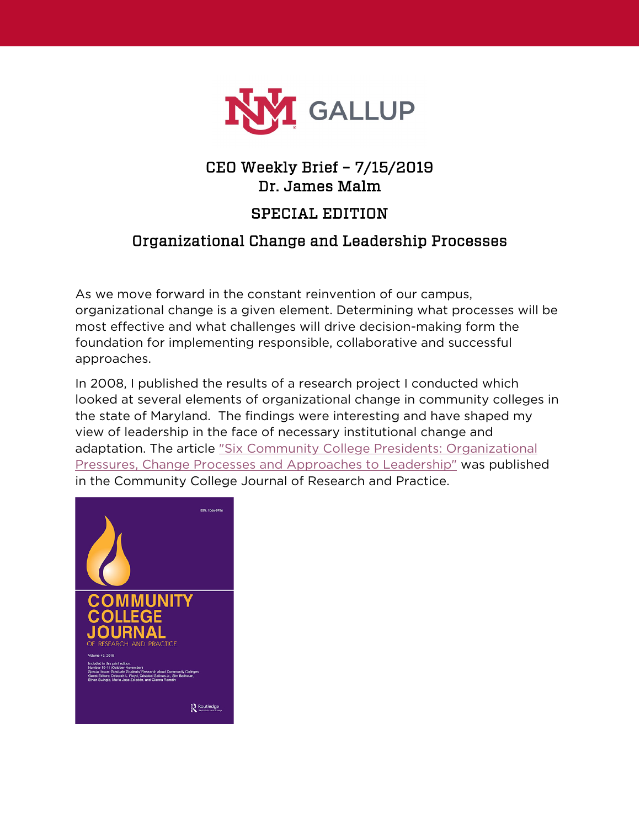

## CEO Weekly Brief – 7/15/2019 Dr. James Malm

## SPECIAL EDITION

## Organizational Change and Leadership Processes

As we move forward in the constant reinvention of our campus, organizational change is a given element. Determining what processes will be most effective and what challenges will drive decision-making form the foundation for implementing responsible, collaborative and successful approaches.

In 2008, I published the results of a research project I conducted which looked at several elements of organizational change in community colleges in the state of Maryland. The findings were interesting and have shaped my view of leadership in the face of necessary institutional change and adaptation. The article ["Six Community College Presidents: Organizational](https://www.tandfonline.com/doi/pdf/10.1080/10668920802103813?needAccess=true)  [Pressures, Change Processes and Approaches to Leadership"](https://www.tandfonline.com/doi/pdf/10.1080/10668920802103813?needAccess=true) was published in the Community College Journal of Research and Practice.

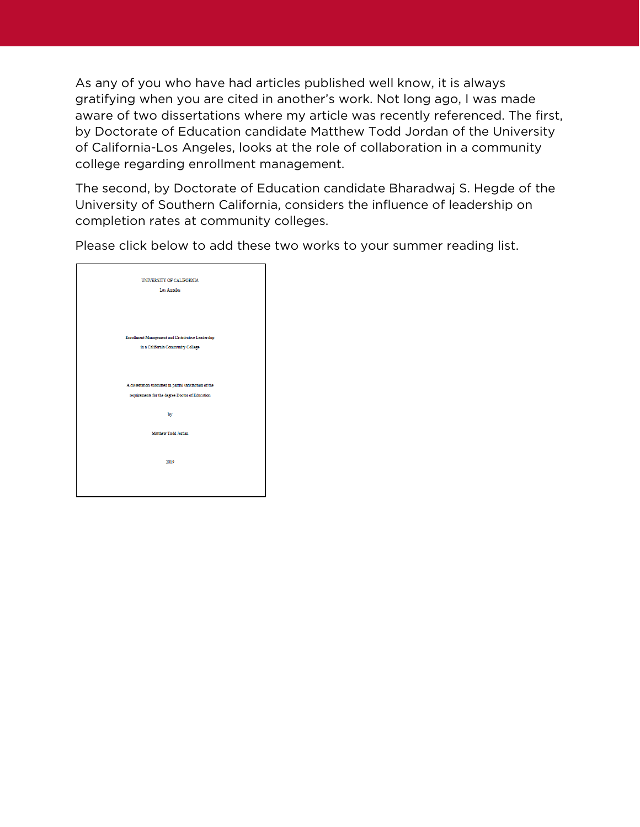As any of you who have had articles published well know, it is always gratifying when you are cited in another's work. Not long ago, I was made aware of two dissertations where my article was recently referenced. The first, by Doctorate of Education candidate Matthew Todd Jordan of the University of California-Los Angeles, looks at the role of collaboration in a community college regarding enrollment management.

The second, by Doctorate of Education candidate Bharadwaj S. Hegde of the University of Southern California, considers the influence of leadership on completion rates at community colleges.

Please click below to add these two works to your summer reading list.

| UNIVERSITY OF CALIFORNIA                                |
|---------------------------------------------------------|
| Los Angeles                                             |
|                                                         |
|                                                         |
|                                                         |
|                                                         |
| Enrollment Management and Distributive Leadership       |
| in a California Community College                       |
|                                                         |
|                                                         |
| A dissertation submitted in partial satisfaction of the |
| requirements for the degree Doctor of Education         |
|                                                         |
| by                                                      |
|                                                         |
| Matthew Todd Jordan                                     |
|                                                         |
|                                                         |
| 2019                                                    |
|                                                         |
|                                                         |
|                                                         |
|                                                         |